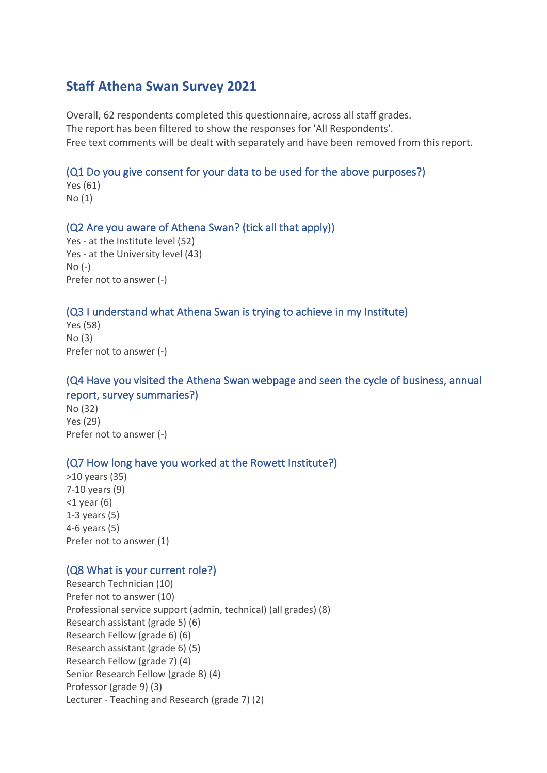# **Staff Athena Swan Survey 2021**

Overall, 62 respondents completed this questionnaire, across all staff grades. The report has been filtered to show the responses for 'All Respondents'. Free text comments will be dealt with separately and have been removed from this report.

### (Q1 Do you give consent for your data to be used for the above purposes?)

Yes (61) No (1)

#### (Q2 Are you aware of Athena Swan? (tick all that apply))

Yes - at the Institute level (52) Yes - at the University level (43) No (-) Prefer not to answer (-)

### (Q3 I understand what Athena Swan is trying to achieve in my Institute)

Yes (58) No (3) Prefer not to answer (-)

### (Q4 Have you visited the Athena Swan webpage and seen the cycle of business, annual report, survey summaries?)

No (32) Yes (29) Prefer not to answer (-)

### (Q7 How long have you worked at the Rowett Institute?)

>10 years (35) 7-10 years (9)  $<$ 1 year (6) 1-3 years (5) 4-6 years (5) Prefer not to answer (1)

#### (Q8 What is your current role?)

Research Technician (10) Prefer not to answer (10) Professional service support (admin, technical) (all grades) (8) Research assistant (grade 5) (6) Research Fellow (grade 6) (6) Research assistant (grade 6) (5) Research Fellow (grade 7) (4) Senior Research Fellow (grade 8) (4) Professor (grade 9) (3) Lecturer - Teaching and Research (grade 7) (2)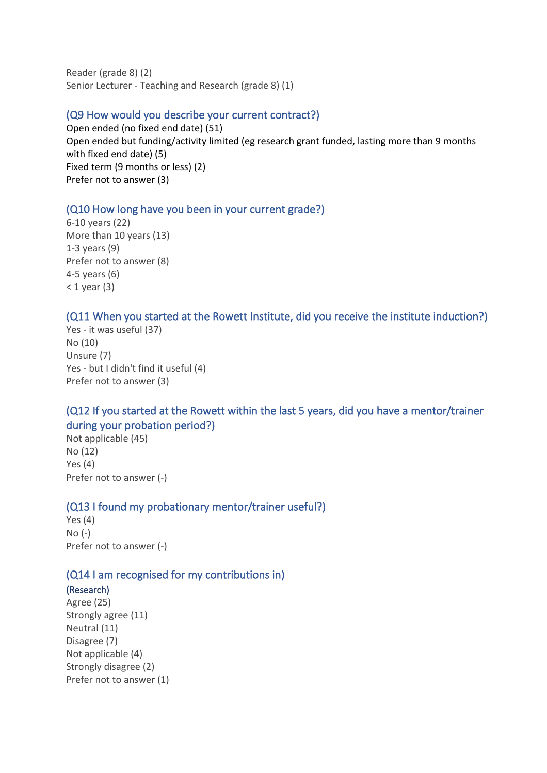Reader (grade 8) (2) Senior Lecturer - Teaching and Research (grade 8) (1)

### (Q9 How would you describe your current contract?)

Open ended (no fixed end date) (51) Open ended but funding/activity limited (eg research grant funded, lasting more than 9 months with fixed end date) (5) Fixed term (9 months or less) (2) Prefer not to answer (3)

### (Q10 How long have you been in your current grade?)

6-10 years (22) More than 10 years (13) 1-3 years (9) Prefer not to answer (8) 4-5 years (6)  $<$  1 year (3)

### (Q11 When you started at the Rowett Institute, did you receive the institute induction?)

Yes - it was useful (37) No (10) Unsure (7) Yes - but I didn't find it useful (4) Prefer not to answer (3)

# (Q12 If you started at the Rowett within the last 5 years, did you have a mentor/trainer during your probation period?)

Not applicable (45) No (12) Yes (4) Prefer not to answer (-)

#### (Q13 I found my probationary mentor/trainer useful?)

Yes (4) No (-) Prefer not to answer (-)

### (Q14 I am recognised for my contributions in)

#### (Research)

Agree (25) Strongly agree (11) Neutral (11) Disagree (7) Not applicable (4) Strongly disagree (2) Prefer not to answer (1)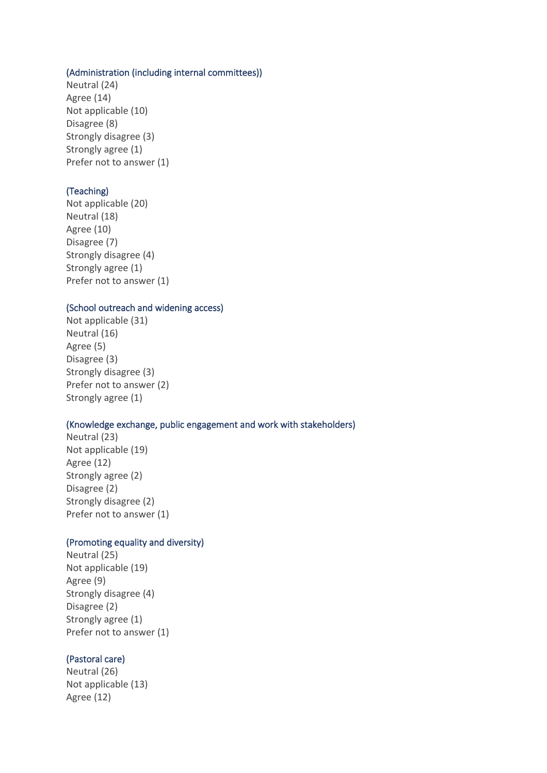#### (Administration (including internal committees))

Neutral (24) Agree (14) Not applicable (10) Disagree (8) Strongly disagree (3) Strongly agree (1) Prefer not to answer (1)

#### (Teaching)

Not applicable (20) Neutral (18) Agree (10) Disagree (7) Strongly disagree (4) Strongly agree (1) Prefer not to answer (1)

#### (School outreach and widening access)

Not applicable (31) Neutral (16) Agree (5) Disagree (3) Strongly disagree (3) Prefer not to answer (2) Strongly agree (1)

#### (Knowledge exchange, public engagement and work with stakeholders)

Neutral (23) Not applicable (19) Agree (12) Strongly agree (2) Disagree (2) Strongly disagree (2) Prefer not to answer (1)

#### (Promoting equality and diversity)

Neutral (25) Not applicable (19) Agree (9) Strongly disagree (4) Disagree (2) Strongly agree (1) Prefer not to answer (1)

#### (Pastoral care)

Neutral (26) Not applicable (13) Agree (12)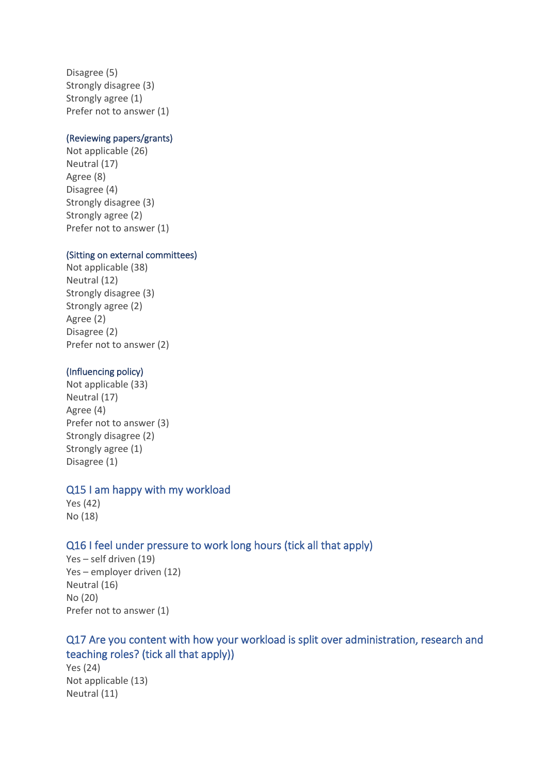Disagree (5) Strongly disagree (3) Strongly agree (1) Prefer not to answer (1)

### (Reviewing papers/grants)

Not applicable (26) Neutral (17) Agree (8) Disagree (4) Strongly disagree (3) Strongly agree (2) Prefer not to answer (1)

#### (Sitting on external committees)

Not applicable (38) Neutral (12) Strongly disagree (3) Strongly agree (2) Agree (2) Disagree (2) Prefer not to answer (2)

#### (Influencing policy)

Not applicable (33) Neutral (17) Agree (4) Prefer not to answer (3) Strongly disagree (2) Strongly agree (1) Disagree (1)

#### Q15 I am happy with my workload

Yes (42) No (18)

### Q16 I feel under pressure to work long hours (tick all that apply)

Yes – self driven (19) Yes – employer driven (12) Neutral (16) No (20) Prefer not to answer (1)

# Q17 Are you content with how your workload is split over administration, research and teaching roles? (tick all that apply))

Yes (24) Not applicable (13) Neutral (11)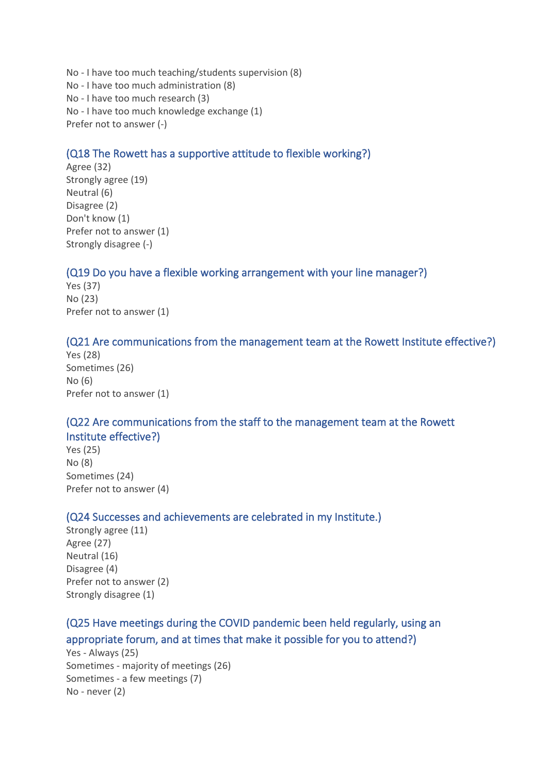No - I have too much teaching/students supervision (8) No - I have too much administration (8) No - I have too much research (3) No - I have too much knowledge exchange (1) Prefer not to answer (-)

# (Q18 The Rowett has a supportive attitude to flexible working?)

Agree (32) Strongly agree (19) Neutral (6) Disagree (2) Don't know (1) Prefer not to answer (1) Strongly disagree (-)

# (Q19 Do you have a flexible working arrangement with your line manager?)

Yes (37) No (23) Prefer not to answer (1)

#### (Q21 Are communications from the management team at the Rowett Institute effective?)

Yes (28) Sometimes (26) No (6) Prefer not to answer (1)

# (Q22 Are communications from the staff to the management team at the Rowett Institute effective?)

Yes (25) No (8) Sometimes (24) Prefer not to answer (4)

### (Q24 Successes and achievements are celebrated in my Institute.)

Strongly agree (11) Agree (27) Neutral (16) Disagree (4) Prefer not to answer (2) Strongly disagree (1)

# (Q25 Have meetings during the COVID pandemic been held regularly, using an appropriate forum, and at times that make it possible for you to attend?)

Yes - Always (25) Sometimes - majority of meetings (26) Sometimes - a few meetings (7) No - never (2)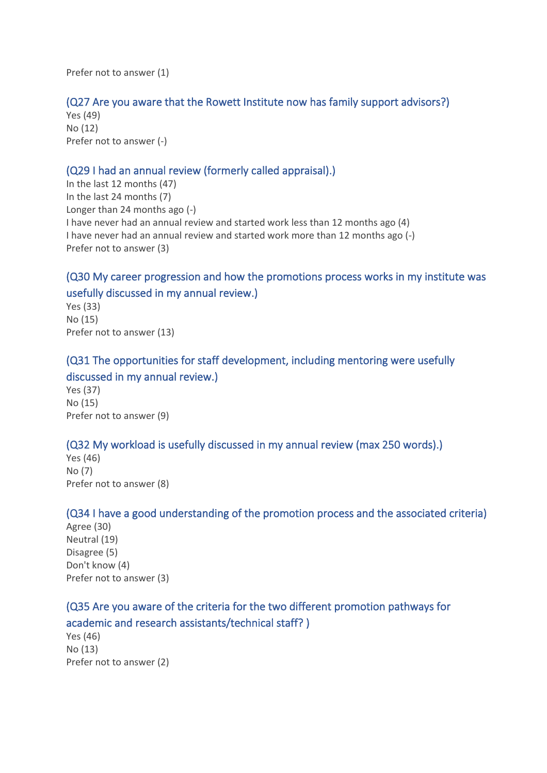Prefer not to answer (1)

### (Q27 Are you aware that the Rowett Institute now has family support advisors?)

Yes (49) No (12) Prefer not to answer (-)

### (Q29 I had an annual review (formerly called appraisal).)

In the last 12 months (47) In the last 24 months (7) Longer than 24 months ago (-) I have never had an annual review and started work less than 12 months ago (4) I have never had an annual review and started work more than 12 months ago (-) Prefer not to answer (3)

# (Q30 My career progression and how the promotions process works in my institute was usefully discussed in my annual review.)

Yes (33) No (15) Prefer not to answer (13)

# (Q31 The opportunities for staff development, including mentoring were usefully discussed in my annual review.)

Yes (37) No (15) Prefer not to answer (9)

# (Q32 My workload is usefully discussed in my annual review (max 250 words).)

Yes (46) No (7) Prefer not to answer (8)

### (Q34 I have a good understanding of the promotion process and the associated criteria)

Agree (30) Neutral (19) Disagree (5) Don't know (4) Prefer not to answer (3)

# (Q35 Are you aware of the criteria for the two different promotion pathways for academic and research assistants/technical staff? )

Yes (46) No (13) Prefer not to answer (2)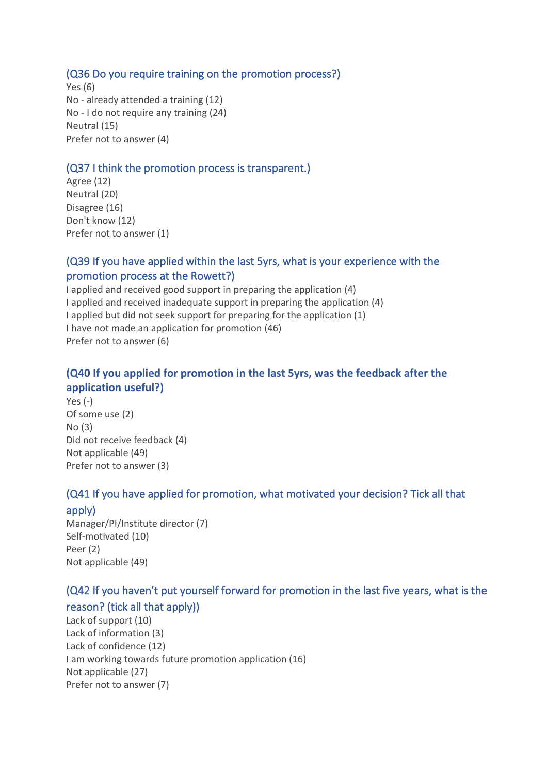### (Q36 Do you require training on the promotion process?)

Yes (6) No - already attended a training (12) No - I do not require any training (24) Neutral (15) Prefer not to answer (4)

### (Q37 I think the promotion process is transparent.)

Agree (12) Neutral (20) Disagree (16) Don't know (12) Prefer not to answer (1)

# (Q39 If you have applied within the last 5yrs, what is your experience with the promotion process at the Rowett?)

I applied and received good support in preparing the application (4) I applied and received inadequate support in preparing the application (4) I applied but did not seek support for preparing for the application (1) I have not made an application for promotion (46) Prefer not to answer (6)

# **(Q40 If you applied for promotion in the last 5yrs, was the feedback after the application useful?)**

Yes (-) Of some use (2) No (3) Did not receive feedback (4) Not applicable (49) Prefer not to answer (3)

# (Q41 If you have applied for promotion, what motivated your decision? Tick all that

#### apply)

Manager/PI/Institute director (7) Self-motivated (10) Peer (2) Not applicable (49)

# (Q42 If you haven't put yourself forward for promotion in the last five years, what is the reason? (tick all that apply))

Lack of support (10) Lack of information (3) Lack of confidence (12) I am working towards future promotion application (16) Not applicable (27) Prefer not to answer (7)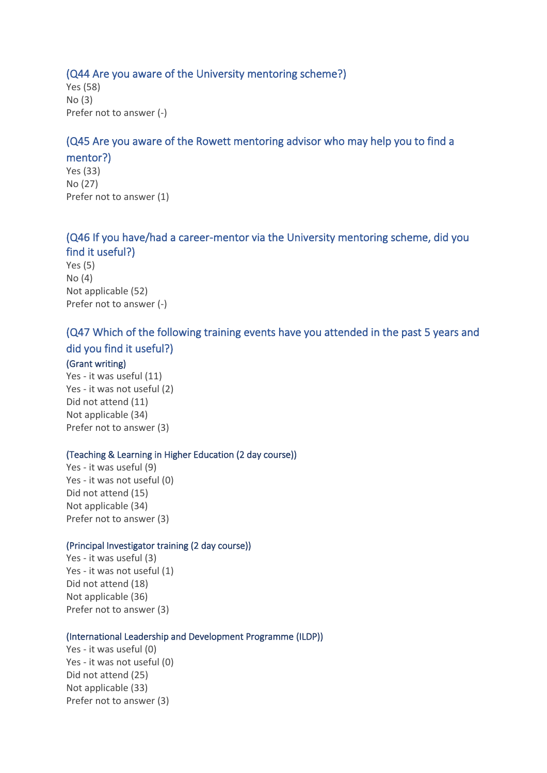#### (Q44 Are you aware of the University mentoring scheme?)

Yes (58) No (3) Prefer not to answer (-)

#### (Q45 Are you aware of the Rowett mentoring advisor who may help you to find a

mentor?) Yes (33) No (27) Prefer not to answer (1)

# (Q46 If you have/had a career-mentor via the University mentoring scheme, did you find it useful?)

Yes (5) No (4) Not applicable (52) Prefer not to answer (-)

# (Q47 Which of the following training events have you attended in the past 5 years and did you find it useful?)

#### (Grant writing)

Yes - it was useful (11) Yes - it was not useful (2) Did not attend (11) Not applicable (34) Prefer not to answer (3)

#### (Teaching & Learning in Higher Education (2 day course))

Yes - it was useful (9) Yes - it was not useful (0) Did not attend (15) Not applicable (34) Prefer not to answer (3)

#### (Principal Investigator training (2 day course))

Yes - it was useful (3) Yes - it was not useful (1) Did not attend (18) Not applicable (36) Prefer not to answer (3)

#### (International Leadership and Development Programme (ILDP))

Yes - it was useful (0) Yes - it was not useful (0) Did not attend (25) Not applicable (33) Prefer not to answer (3)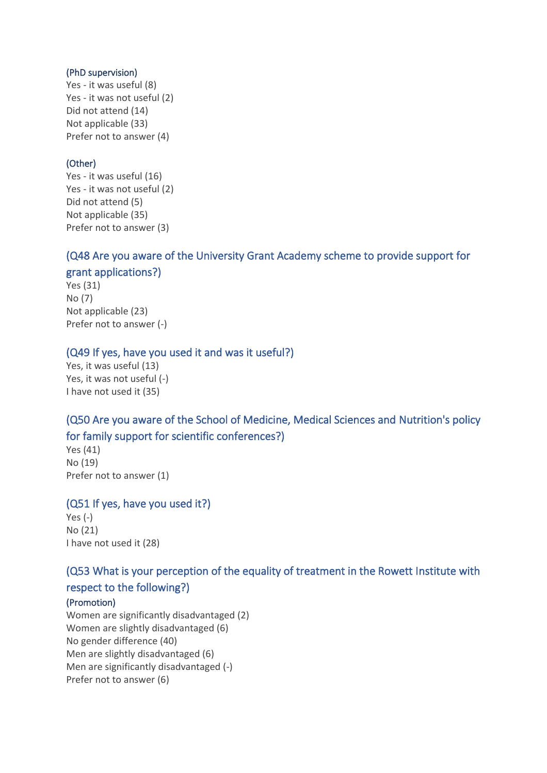#### (PhD supervision)

Yes - it was useful (8) Yes - it was not useful (2) Did not attend (14) Not applicable (33) Prefer not to answer (4)

### (Other)

Yes - it was useful (16) Yes - it was not useful (2) Did not attend (5) Not applicable (35) Prefer not to answer (3)

### (Q48 Are you aware of the University Grant Academy scheme to provide support for

### grant applications?)

Yes (31) No (7) Not applicable (23) Prefer not to answer (-)

#### (Q49 If yes, have you used it and was it useful?)

Yes, it was useful (13) Yes, it was not useful (-) I have not used it (35)

# (Q50 Are you aware of the School of Medicine, Medical Sciences and Nutrition's policy for family support for scientific conferences?)

Yes (41) No (19) Prefer not to answer (1)

### (Q51 If yes, have you used it?)

Yes (-) No (21) I have not used it (28)

### (Q53 What is your perception of the equality of treatment in the Rowett Institute with

### respect to the following?)

#### (Promotion)

Women are significantly disadvantaged (2) Women are slightly disadvantaged (6) No gender difference (40) Men are slightly disadvantaged (6) Men are significantly disadvantaged (-) Prefer not to answer (6)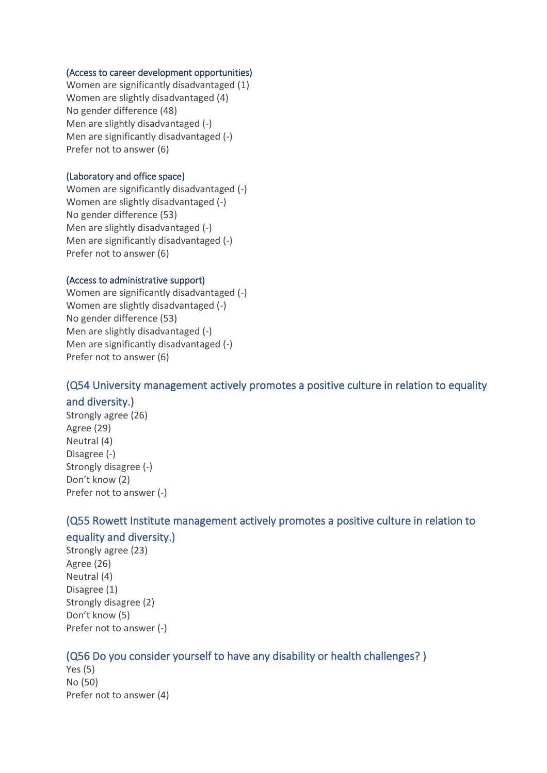#### (Access to career development opportunities)

Women are significantly disadvantaged (1) Women are slightly disadvantaged (4) No gender difference (48) Men are slightly disadvantaged (-) Men are significantly disadvantaged (-) Prefer not to answer (6)

#### (Laboratory and office space)

Women are significantly disadvantaged (-) Women are slightly disadvantaged (-) No gender difference (53) Men are slightly disadvantaged (-) Men are significantly disadvantaged (-) Prefer not to answer (6)

#### (Access to administrative support)

Women are significantly disadvantaged (-) Women are slightly disadvantaged (-) No gender difference (53) Men are slightly disadvantaged (-) Men are significantly disadvantaged (-) Prefer not to answer (6)

# (Q54 University management actively promotes a positive culture in relation to equality

#### and diversity.)

Strongly agree (26) Agree (29) Neutral (4) Disagree (-) Strongly disagree (-) Don't know (2) Prefer not to answer (-)

# (Q55 Rowett Institute management actively promotes a positive culture in relation to equality and diversity.)

Strongly agree (23) Agree (26) Neutral (4) Disagree (1) Strongly disagree (2) Don't know (5) Prefer not to answer (-)

# (Q56 Do you consider yourself to have any disability or health challenges? )

Yes (5) No (50) Prefer not to answer (4)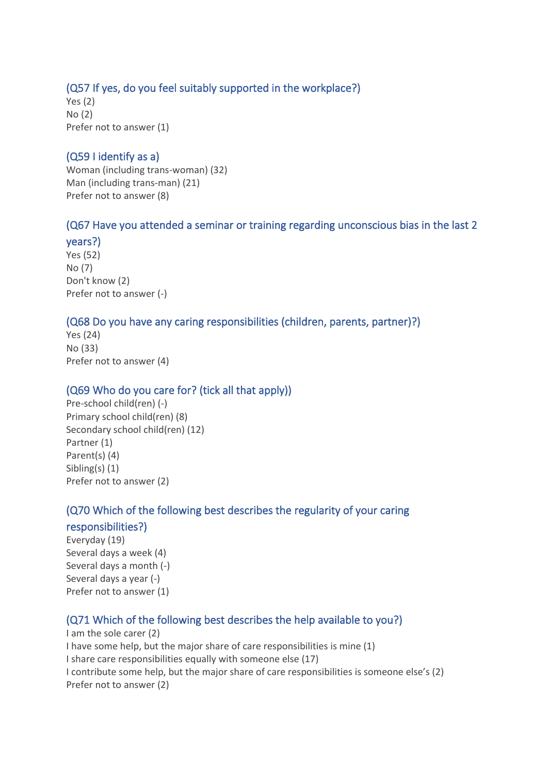# (Q57 If yes, do you feel suitably supported in the workplace?)

Yes (2) No (2) Prefer not to answer (1)

# (Q59 I identify as a)

Woman (including trans-woman) (32) Man (including trans-man) (21) Prefer not to answer (8)

# (Q67 Have you attended a seminar or training regarding unconscious bias in the last 2

#### years?)

Yes (52) No (7) Don't know (2) Prefer not to answer (-)

# (Q68 Do you have any caring responsibilities (children, parents, partner)?)

Yes (24) No (33) Prefer not to answer (4)

# (Q69 Who do you care for? (tick all that apply))

Pre-school child(ren) (-) Primary school child(ren) (8) Secondary school child(ren) (12) Partner (1) Parent(s) (4) Sibling(s) (1) Prefer not to answer (2)

# (Q70 Which of the following best describes the regularity of your caring

# responsibilities?)

Everyday (19) Several days a week (4) Several days a month (-) Several days a year (-) Prefer not to answer (1)

# (Q71 Which of the following best describes the help available to you?)

I am the sole carer (2) I have some help, but the major share of care responsibilities is mine (1) I share care responsibilities equally with someone else (17) I contribute some help, but the major share of care responsibilities is someone else's (2) Prefer not to answer (2)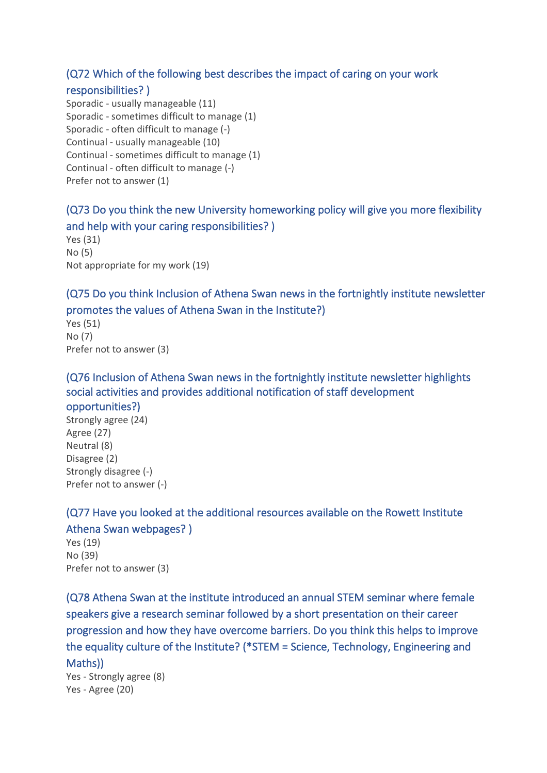### (Q72 Which of the following best describes the impact of caring on your work

### responsibilities? )

Sporadic - usually manageable (11) Sporadic - sometimes difficult to manage (1) Sporadic - often difficult to manage (-) Continual - usually manageable (10) Continual - sometimes difficult to manage (1) Continual - often difficult to manage (-) Prefer not to answer (1)

# (Q73 Do you think the new University homeworking policy will give you more flexibility and help with your caring responsibilities? )

Yes (31) No (5) Not appropriate for my work (19)

# (Q75 Do you think Inclusion of Athena Swan news in the fortnightly institute newsletter promotes the values of Athena Swan in the Institute?)

Yes (51) No (7) Prefer not to answer (3)

# (Q76 Inclusion of Athena Swan news in the fortnightly institute newsletter highlights social activities and provides additional notification of staff development opportunities?)

Strongly agree (24) Agree (27) Neutral (8) Disagree (2) Strongly disagree (-) Prefer not to answer (-)

# (Q77 Have you looked at the additional resources available on the Rowett Institute

# Athena Swan webpages? )

Yes (19) No (39) Prefer not to answer (3)

(Q78 Athena Swan at the institute introduced an annual STEM seminar where female speakers give a research seminar followed by a short presentation on their career progression and how they have overcome barriers. Do you think this helps to improve the equality culture of the Institute? (\*STEM = Science, Technology, Engineering and Maths))

Yes - Strongly agree (8) Yes - Agree (20)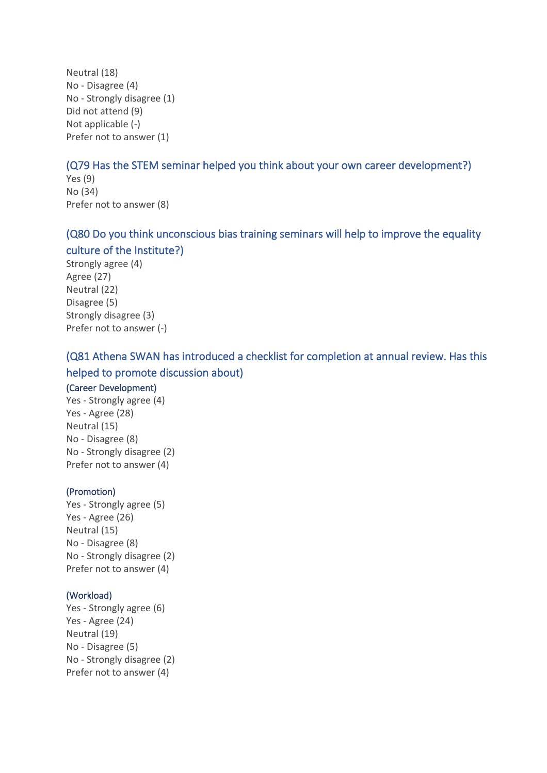Neutral (18) No - Disagree (4) No - Strongly disagree (1) Did not attend (9) Not applicable (-) Prefer not to answer (1)

# (Q79 Has the STEM seminar helped you think about your own career development?)

Yes (9) No (34) Prefer not to answer (8)

# (Q80 Do you think unconscious bias training seminars will help to improve the equality culture of the Institute?)

Strongly agree (4) Agree (27) Neutral (22) Disagree (5) Strongly disagree (3) Prefer not to answer (-)

# (Q81 Athena SWAN has introduced a checklist for completion at annual review. Has this helped to promote discussion about)

#### (Career Development)

Yes - Strongly agree (4) Yes - Agree (28) Neutral (15) No - Disagree (8) No - Strongly disagree (2) Prefer not to answer (4)

#### (Promotion)

Yes - Strongly agree (5) Yes - Agree (26) Neutral (15) No - Disagree (8) No - Strongly disagree (2) Prefer not to answer (4)

#### (Workload)

Yes - Strongly agree (6) Yes - Agree (24) Neutral (19) No - Disagree (5) No - Strongly disagree (2) Prefer not to answer (4)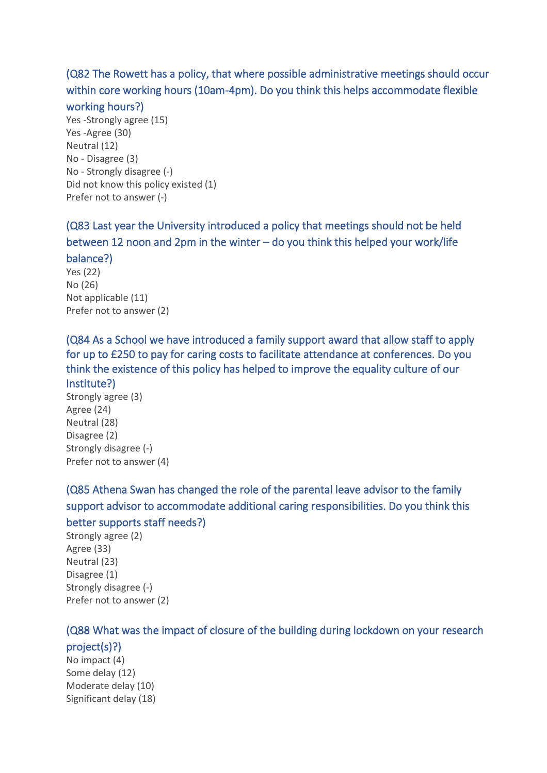(Q82 The Rowett has a policy, that where possible administrative meetings should occur within core working hours (10am-4pm). Do you think this helps accommodate flexible

#### working hours?)

Yes -Strongly agree (15) Yes -Agree (30) Neutral (12) No - Disagree (3) No - Strongly disagree (-) Did not know this policy existed (1) Prefer not to answer (-)

(Q83 Last year the University introduced a policy that meetings should not be held between 12 noon and 2pm in the winter – do you think this helped your work/life balance?)

Yes (22) No (26) Not applicable (11) Prefer not to answer (2)

(Q84 As a School we have introduced a family support award that allow staff to apply for up to £250 to pay for caring costs to facilitate attendance at conferences. Do you think the existence of this policy has helped to improve the equality culture of our Institute?)

Strongly agree (3) Agree (24) Neutral (28) Disagree (2) Strongly disagree (-) Prefer not to answer (4)

(Q85 Athena Swan has changed the role of the parental leave advisor to the family support advisor to accommodate additional caring responsibilities. Do you think this better supports staff needs?)

Strongly agree (2) Agree (33) Neutral (23) Disagree (1) Strongly disagree (-) Prefer not to answer (2)

# (Q88 What was the impact of closure of the building during lockdown on your research

project(s)?) No impact (4) Some delay (12) Moderate delay (10) Significant delay (18)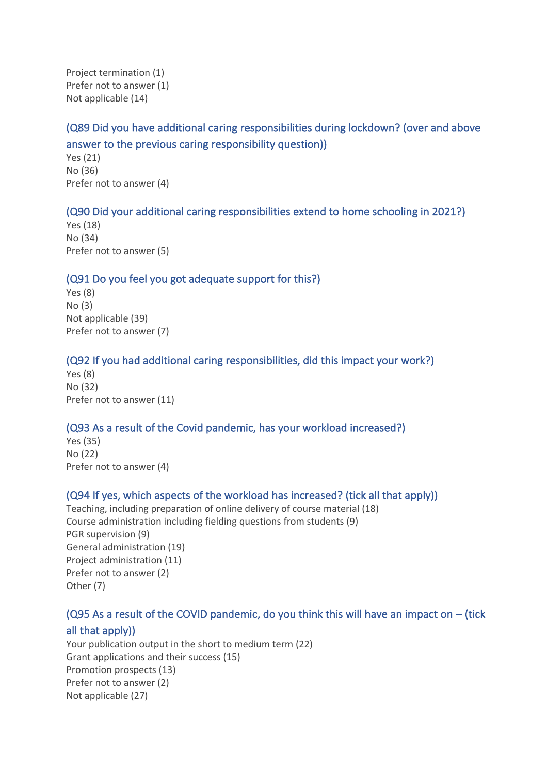Project termination (1) Prefer not to answer (1) Not applicable (14)

# (Q89 Did you have additional caring responsibilities during lockdown? (over and above answer to the previous caring responsibility question))

Yes (21) No (36) Prefer not to answer (4)

# (Q90 Did your additional caring responsibilities extend to home schooling in 2021?)

Yes (18) No (34) Prefer not to answer (5)

#### (Q91 Do you feel you got adequate support for this?)

Yes (8) No (3) Not applicable (39) Prefer not to answer (7)

### (Q92 If you had additional caring responsibilities, did this impact your work?)

Yes (8) No (32) Prefer not to answer (11)

### (Q93 As a result of the Covid pandemic, has your workload increased?)

Yes (35) No (22) Prefer not to answer (4)

### (Q94 If yes, which aspects of the workload has increased? (tick all that apply))

Teaching, including preparation of online delivery of course material (18) Course administration including fielding questions from students (9) PGR supervision (9) General administration (19) Project administration (11) Prefer not to answer (2) Other (7)

# ( $Q95$  As a result of the COVID pandemic, do you think this will have an impact on  $-$  (tick all that apply))

Your publication output in the short to medium term (22) Grant applications and their success (15) Promotion prospects (13) Prefer not to answer (2) Not applicable (27)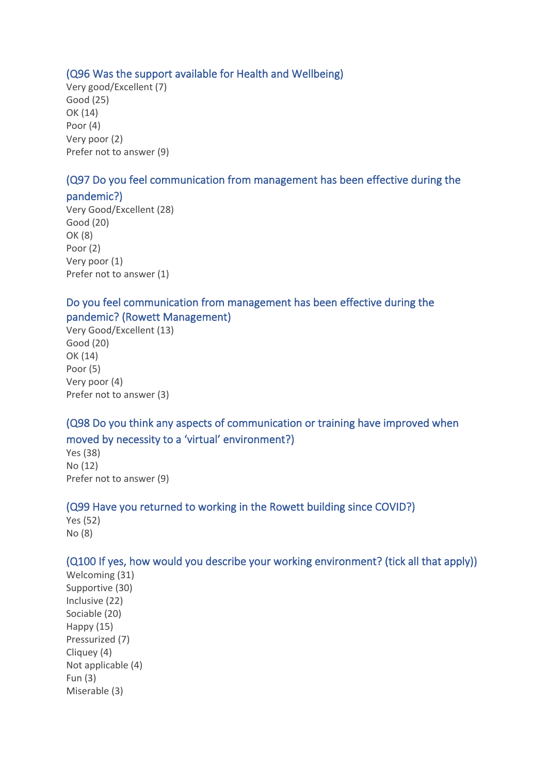### (Q96 Was the support available for Health and Wellbeing)

Very good/Excellent (7) Good (25) OK (14) Poor (4) Very poor (2) Prefer not to answer (9)

# (Q97 Do you feel communication from management has been effective during the

### pandemic?)

Very Good/Excellent (28) Good (20) OK (8) Poor (2) Very poor (1) Prefer not to answer (1)

# Do you feel communication from management has been effective during the pandemic? (Rowett Management)

Very Good/Excellent (13) Good (20) OK (14) Poor (5) Very poor (4) Prefer not to answer (3)

# (Q98 Do you think any aspects of communication or training have improved when moved by necessity to a 'virtual' environment?)

Yes (38) No (12) Prefer not to answer (9)

### (Q99 Have you returned to working in the Rowett building since COVID?)

Yes (52) No (8)

### (Q100 If yes, how would you describe your working environment? (tick all that apply))

Welcoming (31) Supportive (30) Inclusive (22) Sociable (20) Happy (15) Pressurized (7) Cliquey (4) Not applicable (4) Fun (3) Miserable (3)